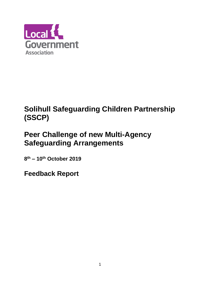

# **Solihull Safeguarding Children Partnership (SSCP)**

# **Peer Challenge of new Multi-Agency Safeguarding Arrangements**

**8 th – 10 th October 2019**

**Feedback Report**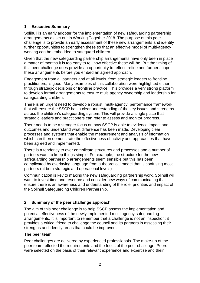## **1 Executive Summary**

Solihull is an early adopter for the implementation of new safeguarding partnership arrangements as set out in Working Together 2018. The purpose of this peer challenge is to provide an early assessment of these new arrangements and identify further opportunities to strengthen these so that an effective model of multi-agency working can be embedded to safeguard children.

Given that the new safeguarding partnership arrangements have only been in place a matter of months it is too early to tell how effective these will be. But the timing of this peer challenge does provide an opportunity to reflect, refine and further shape these arrangements before you embed an agreed approach.

Engagement from all partners and at all levels, from strategic leaders to frontline practitioners, is good. Many examples of this collaboration were highlighted either through strategic decisions or frontline practice. This provides a very strong platform to develop formal arrangements to ensure multi agency ownership and leadership for safeguarding children.

There is an urgent need to develop a robust, multi-agency, performance framework that will ensure the SSCP has a clear understanding of the key issues and strengths across the children's safeguarding system. This will provide a single place that strategic leaders and practitioners can refer to assess and monitor progress.

There needs to be a stronger focus on how SSCP is able to evidence impact and outcomes and understand what difference has been made. Developing clear processes and systems that enable the measurement and analysis of information which can then demonstrate the effectiveness of activity and approaches that have been agreed and implemented.

There is a tendency to over complicate structures and processes and a number of partners want to keep things simple. For example, the structure for the new safeguarding partnership arrangements seem sensible but this has been complicated by overlaying language from a theoretical model that is confusing most partners (at both strategic and operational levels)

Communication is key to making the new safeguarding partnership work. Solihull will want to invest time and resource and consider new ways of communicating that ensure there is an awareness and understanding of the role, priorities and impact of the Solihull Safeguarding Children Partnership.

## **2 Summary of the peer challenge approach**

The aim of this peer challenge is to help SSCP assess the implementation and potential effectiveness of the newly implemented multi agency safeguarding arrangements. It is important to remember that a challenge is not an inspection; it provides a critical friend to challenge the council and its partners in assessing their strengths and identify areas that could be improved.

## **The peer team**

Peer challenges are delivered by experienced professionals. The make-up of the peer team reflected the requirements and the focus of the peer challenge. Peers were selected on the basis of their relevant experience and expertise and their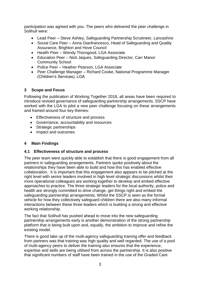participation was agreed with you. The peers who delivered the peer challenge in Solihull were:

- Lead Peer Steve Ashley, Safeguarding Partnership Scrutineer, Lancashire
- Social Care Peer Anna Gianfrancesco, Head of Safeguarding and Quality Assurance, Brighton and Hove Council
- Health Peer Wendy Thorogood, LGA Associate
- Education Peer Nick Jaques, Safeguarding Director, Carr Manor Community School
- Police Peer Heather Pearson, LGA Associate
- Peer Challenge Manager Richard Cooke, National Programme Manager (Children's Services), LGA

#### **3 Scope and Focus**

Following the publication of Working Together 2018, all areas have been required to introduce revised governance of safeguarding partnership arrangements. SSCP have worked with the LGA to pilot a new peer challenge focusing on these arrangements and framed around four key themes:

- Effectiveness of structure and process
- Governance, accountability and resources
- Strategic partnerships
- Impact and outcomes

#### **4 Main Findings**

#### **4.1 Effectiveness of structure and process**

The peer team were quickly able to establish that there is good engagement from all partners in safeguarding arrangements. Partners spoke positively about the relationships they have been able to build and how this has enabled effective collaboration. It is important that this engagement also appears to be pitched at the right level with senior leaders involved in high level strategic discussions whilst their more operational colleagues are working together to develop and embed effective approaches to practice. The three strategic leaders for the local authority, police and health are strongly committed to drive change, get things right and embed the safeguarding partnership arrangements. Whilst the SSCP is seen as the formal vehicle for how they collectively safeguard children there are also many informal interactions between these three leaders which is building a strong and effective working relationship.

The fact that Solihull has pushed ahead to move into the new safeguarding partnership arrangements early is another demonstration of the strong partnership platform that is being built upon and, equally, the ambition to improve and refine the existing model.

There is good take up of the multi-agency safeguarding training offer and feedback from partners was that training was high quality and well regarded. The use of a pool of multi-agency peers to deliver the training also ensures that the experience, expertise and skills are being utilised from across the partnership. It is also positive that significant numbers of staff have been trained in the use of the Graded Care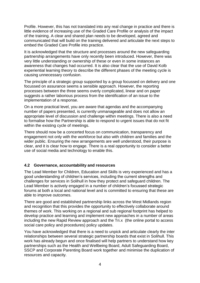Profile. However, this has not translated into any real change in practice and there is little evidence of increasing use of the Graded Care Profile or analysis of the impact of the training. A clear and shared plan needs to be developed, agreed and communicated that will build on the training delivered and articulate the next steps to embed the Graded Care Profile into practice.

It is acknowledged that the structure and processes around the new safeguarding partnership arrangements have only recently been introduced. However, there was very little understanding or ownership of these or even in some instances an awareness that changes had occurred. It is also clear that the use of David Kolb experiential learning theory to describe the different phases of the meeting cycle is causing unnecessary confusion.

The principle of a strategic group supported by a group focussed on delivery and one focussed on assurance seems a sensible approach. However, the reporting processes between the three seems overly complicated, linear and on paper suggests a rather laborious process from the identification of an issue to the implementation of a response.

On a more practical level, you are aware that agendas and the accompanying number of papers presented, is currently unmanageable and does not allow an appropriate level of discussion and challenge within meetings. There is also a need to formalise how the Partnership is able to respond to urgent issues that do not fit within the existing cycle of meetings.

There should now be a concerted focus on communication, transparency and engagement not only with the workforce but also with children and families and the wider public. Ensuring the new arrangements are well understood, their purpose is clear, and it is clear how to engage. There is a real opportunity to consider a better use of social media and technology to enable this.

## **4.2 Governance, accountability and resources**

The Lead Member for Children, Education and Skills is very experienced and has a good understanding of children's services, including the current strengths and challenges for services in Solihull in how they protect and safeguard children. The Lead Member is actively engaged in a number of children's focussed strategic forums at both a local and national level and is committed to ensuring that these are able to improve outcomes.

There are good and established partnership links across the West Midlands region and recognition that this provides the opportunity to effectively collaborate around themes of work. This working on a regional and sub regional footprint has helped to develop practice and learning and implement new approaches in a number of areas including the new Rapid Review approach and the Tri.x (the online portal to access social care policy and procedures) policy updates.

You have acknowledged that there is a need to unpick and articulate clearly the inter relationships between several strategic partnership boards that exist in Solihull. This work has already begun and once finalised will help partners to understand how key partnerships such as the Health and Wellbeing Board, Adult Safeguarding Board, SSCP and Corporate Parenting Board work together and minimise the duplication of resources and capacity.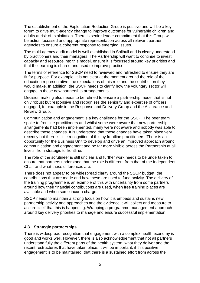The establishment of the Exploitation Reduction Group is positive and will be a key forum to drive multi-agency change to improve outcomes for vulnerable children and adults at risk of exploitation. There is senior leader commitment that this Group will be action focussed and appropriate representation across all relevant partner agencies to ensure a coherent response to emerging issues.

The multi-agency audit model is well established in Solihull and is clearly understood by practitioners and their managers. The Partnership will want to continue to invest capacity and resource into this model, ensure it is focussed around key priorities and that the learning is shared and used to improve practice.

The terms of reference for SSCP need to reviewed and refreshed to ensure they are fit for purpose. For example, it is not clear at the moment around the role of the education representative, the expectations of this role and the contribution they would make. In addition, the SSCP needs to clarify how the voluntary sector will engage in these new partnership arrangements.

Decision making also needs to be refined to ensure a partnership model that is not only robust but responsive and recognises the seniority and expertise of officers engaged, for example in the Response and Delivery Group and the Assurance and Review Group.

Communication and engagement is a key challenge for the SSCP. The peer team spoke to frontline practitioners and whilst some were aware that new partnership arrangements had been implemented, many were not aware and nobody was able to describe these changes. It is understood that these changes have taken place very recently but there is little recognition of this by frontline practitioners. There is an opportunity for the Business Unit to develop and drive an improved approach around communication and engagement and be far more visible across the Partnership at all levels, from strategic to frontline.

The role of the scrutineer is still unclear and further work needs to be undertaken to ensure that partners understand that the role is different from that of the Independent Chair and what these differences are.

There does not appear to be widespread clarity around the SSCP budget, the contributions that are made and how these are used to fund activity. The delivery of the training programme is an example of this with uncertainty from some partners around how their financial contributions are used, when free training places are available and when some incur a charge.

SSCP needs to maintain a strong focus on how it is embeds and sustains new partnership activity and approaches and the evidence it will collect and measure to assure itself that this is happening. Wrapping a programme management approach around key delivery priorities to manage and ensure successful implementation.

## **4.3 Strategic partnerships**

There is widespread recognition that engagement with a complex health economy is good and works well. However, there is also acknowledgement that not all partners understand fully the different parts of the health system, what they deliver and the recent restructures that have taken place. It will be important, if this positive engagement is to be maintained, that there is a sustained effort from across the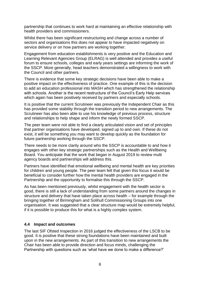partnership that continues to work hard at maintaining an effective relationship with health providers and commissioners.

Whilst there has been significant restructuring and change across a number of sectors and organisations this does not appear to have impacted negatively on service delivery or on how partners are working together.

Engagement from education establishments is very positive and the Education and Learning Relevant Agencies Group (ELRAG) is well attended and provides a useful forum to ensure schools, colleges and early years settings are informing the work of the SSCP. More generally, head teachers demonstrated a willingness to work with the Council and other partners.

There is evidence that some key strategic decisions have been able to make a positive impact on the effectiveness of practice. One example of this is the decision to add an education professional into MASH which has strengthened the relationship with schools. Another is the recent restructure of the Council's Early Help services which again has been positively received by partners and especially schools.

It is positive that the current Scrutineer was previously the Independent Chair as this has provided some stability through the transition period to new arrangements. The Scrutineer has also been able to use his knowledge of previous process, structure and relationships to help shape and inform the newly formed SSCP.

The peer team were not able to find a clearly articulated vision and set of principles that partner organisations have developed, signed up to and own. If these do not exist, it will be something you may want to develop quickly as the foundation for future partnership working through the SSCP.

There needs to be more clarity around who the SSCP is accountable to and how it engages with other key strategic partnerships such as the Health and Wellbeing Board. You anticipate that the work that began in August 2019 to review multi agency boards and partnerships will address this.

Partners have identified that emotional wellbeing and mental health are key priorities for children and young people. The peer team felt that given this focus it would be beneficial to consider further how the mental health providers are engaged in the Partnership and the opportunity to formalise this through the SSCP.

As has been mentioned previously, whilst engagement with the health sector is good, there is still a lack of understanding from some partners around the changes in structure and delivery that have taken place across health – for example through the bringing together of Birmingham and Solihull Commissioning Groups into one organisation. It was suggested that a clear structure map would be extremely helpful, if it is possible to produce this for what is a highly complex system.

#### **4.4 Impact and outcomes**

The last SIF Ofsted Inspection in 2016 judged the effectiveness of the LSCB to be good. It is positive that these strong foundations have been maintained and built upon in the new arrangements. As part of this transition to new arrangements the Chair has been able to provide direction and focus minds, challenging the Partnership with questions such as 'what have we done to make a difference?'